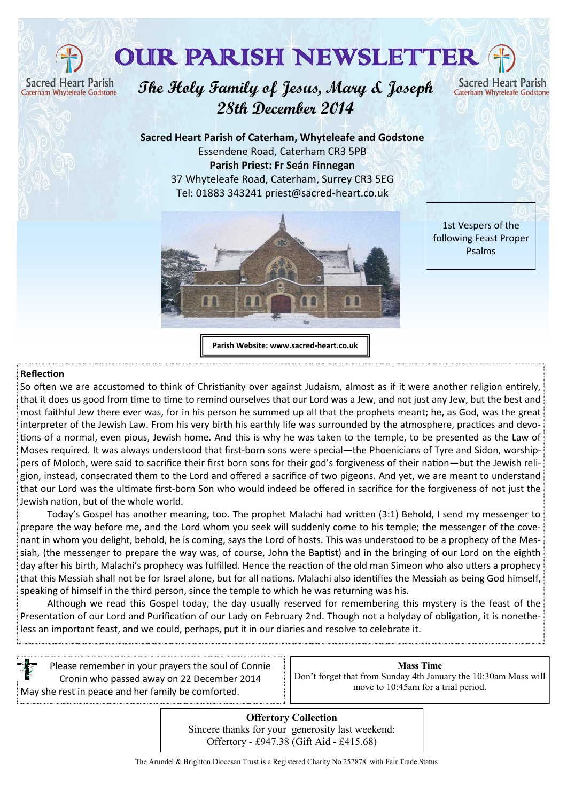**Sacred Heart Parish** Caterham Whyteleafe Godstone

## OUR PARISH NEWSLETTER

**The Holy Family of Jesus, Mary & Joseph 28th December 2014**

Christmas 2014 Newsletter Tel: 01883 343241 priest@sacred-heart.co.uk **Sacred Heart Parish of Caterham, Whyteleafe and Godstone** Essendene Road, Caterham CR3 5PB **Parish Priest: Fr Seán Finnegan** 37 Whyteleafe Road, Caterham, Surrey CR3 5EG



1st Vespers of the following Feast Proper Psalms

**Sacred Heart Parish** 

Caterham Whyteleafe Godstone

**Parish Website: www.sacred-heart.co.uk**

## **Reflection**

So often we are accustomed to think of Christianity over against Judaism, almost as if it were another religion entirely, that it does us good from time to time to remind ourselves that our Lord was a Jew, and not just any Jew, but the best and most faithful Jew there ever was, for in his person he summed up all that the prophets meant; he, as God, was the great interpreter of the Jewish Law. From his very birth his earthly life was surrounded by the atmosphere, practices and devotions of a normal, even pious, Jewish home. And this is why he was taken to the temple, to be presented as the Law of Moses required. It was always understood that first-born sons were special—the Phoenicians of Tyre and Sidon, worshippers of Moloch, were said to sacrifice their first born sons for their god's forgiveness of their nation—but the Jewish religion, instead, consecrated them to the Lord and offered a sacrifice of two pigeons. And yet, we are meant to understand that our Lord was the ultimate first-born Son who would indeed be offered in sacrifice for the forgiveness of not just the Jewish nation, but of the whole world.

Today's Gospel has another meaning, too. The prophet Malachi had written (3:1) Behold, I send my messenger to prepare the way before me, and the Lord whom you seek will suddenly come to his temple; the messenger of the covenant in whom you delight, behold, he is coming, says the Lord of hosts. This was understood to be a prophecy of the Messiah, (the messenger to prepare the way was, of course, John the Baptist) and in the bringing of our Lord on the eighth day after his birth, Malachi's prophecy was fulfilled. Hence the reaction of the old man Simeon who also utters a prophecy that this Messiah shall not be for Israel alone, but for all nations. Malachi also identifies the Messiah as being God himself, speaking of himself in the third person, since the temple to which he was returning was his.

Although we read this Gospel today, the day usually reserved for remembering this mystery is the feast of the Presentation of our Lord and Purification of our Lady on February 2nd. Though not a holyday of obligation, it is nonetheless an important feast, and we could, perhaps, put it in our diaries and resolve to celebrate it.

Please remember in your prayers the soul of Connie Cronin who passed away on 22 December 2014 May she rest in peace and her family be comforted.

| <b>Mass Time</b>                                                |
|-----------------------------------------------------------------|
| Don't forget that from Sunday 4th January the 10:30am Mass will |
| move to 10:45am for a trial period.                             |

**Offertory Collection** Sincere thanks for your generosity last weekend: Offertory - £947.38 (Gift Aid - £415.68)